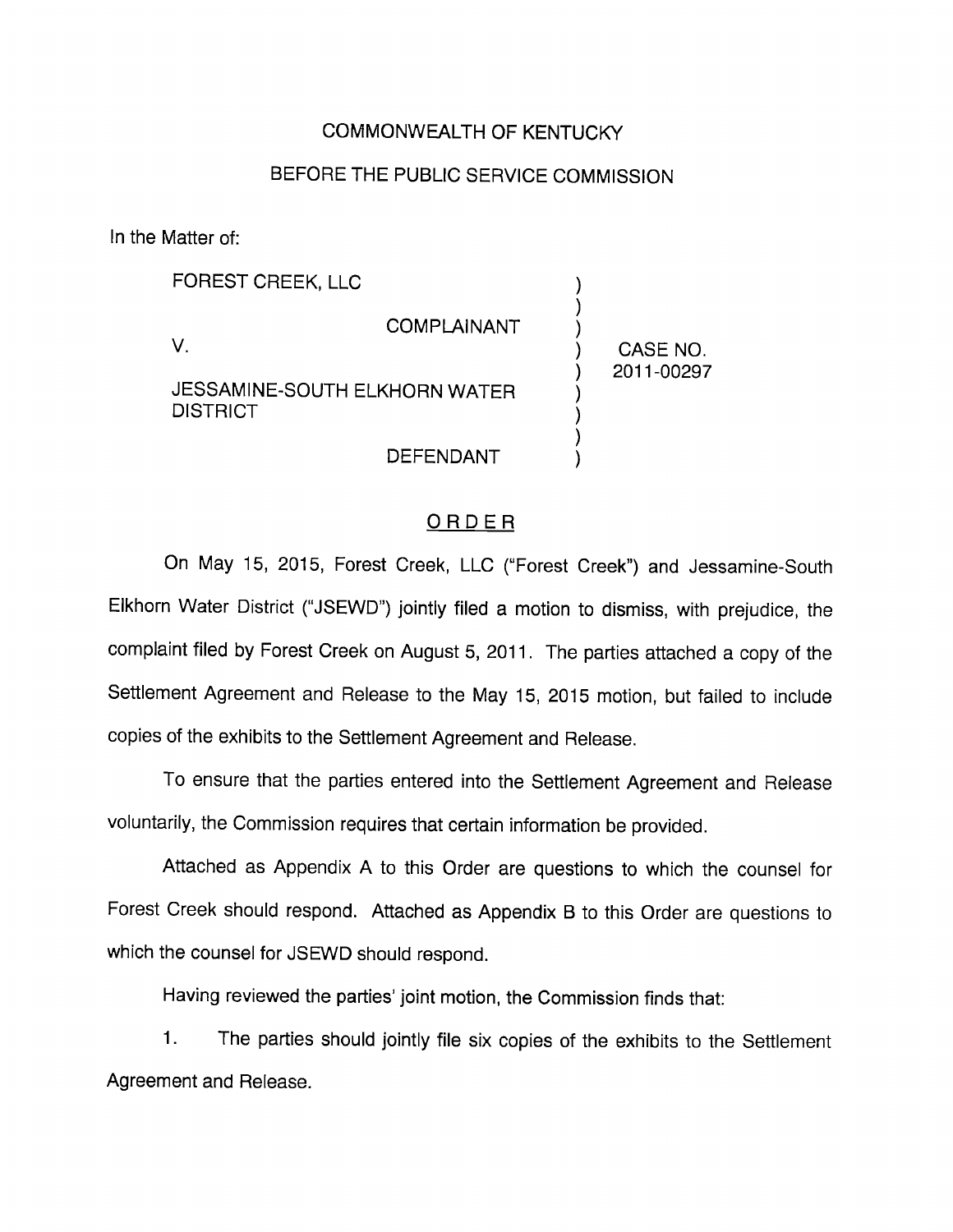## COMMONWEALTH OF KENTUCKY

## BEFORE THE PUBLIC SERVICE COMMISSION

In the Matter of:

FOREST CREEK, LLC

V.

COMPLAINANT

JESSAMINE-SOUTH ELKHORN WATER **DISTRICT** 

DEFENDANT

CASE NO. 2011-00297

#### ORDER

On May 15, 2015, Forest Creek, LLC ("Forest Creek") and Jessamine-South Elkhorn Water District ("JSEWD") jointly filed a motion to dismiss, with prejudice, the complaint filed by Forest Creek on August 5, 2011. The parties attached a copy of the Settlement Agreement and Release to the May 15, 2015 motion, but failed to include copies of the exhibits to the Settlement Agreement and Release.

To ensure that the parties entered into the Settlement Agreement and Release voluntarily, the Commission requires that certain information be provided.

Attached as Appendix A to this Order are questions to which the counsel for Forest Creek should respond. Attached as Appendix B to this Order are questions to which the counsel for JSEWD should respond.

Having reviewed the parties' joint motion, the Commission finds that:

1. The parties should jointly file six copies of the exhibits to the Settlement Agreement and Release.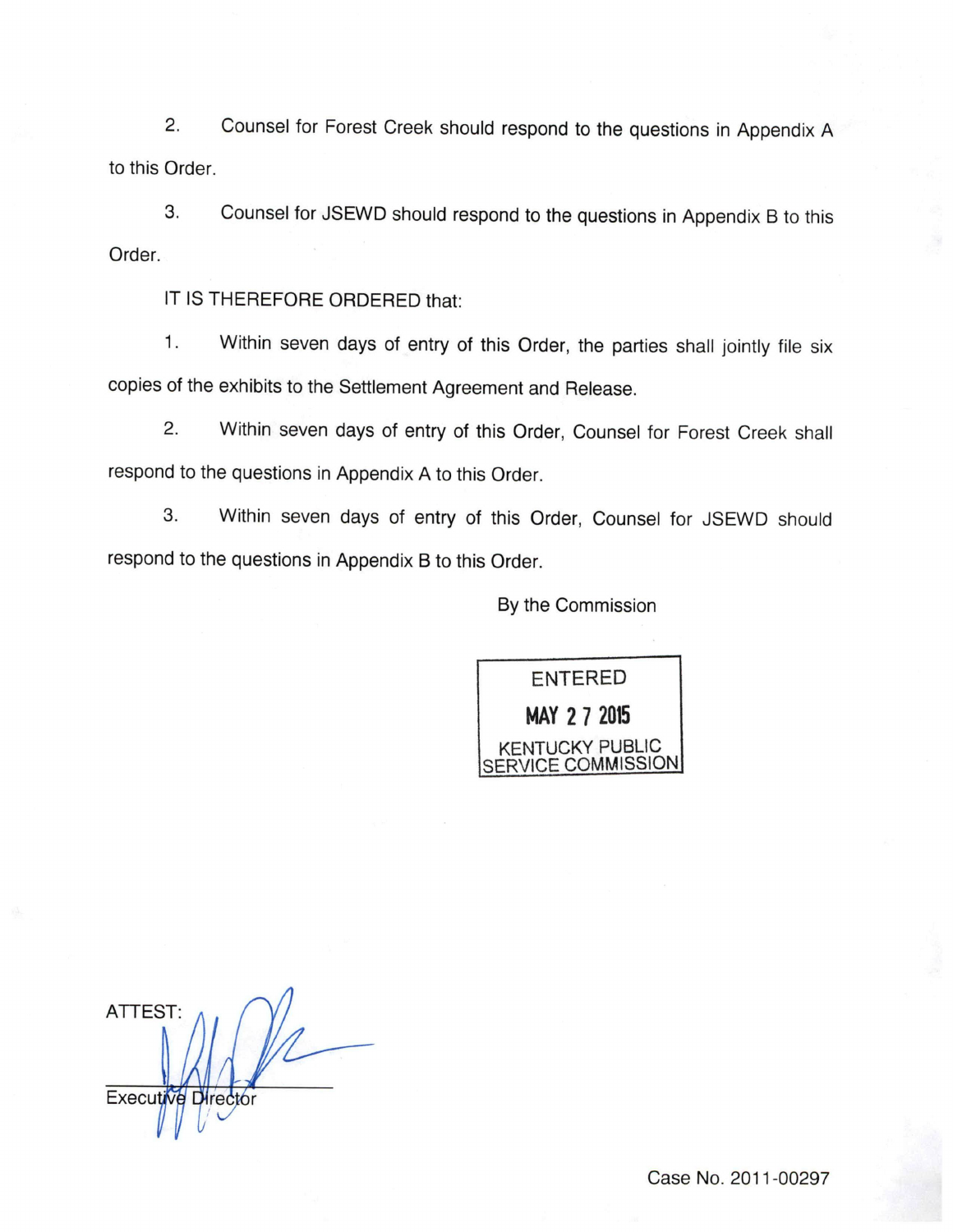2. Counsel for Forest Creek should respond to the questions in Appendix A to this Order.

Counsel for JSEWD should respond to the questions in Appendix B to this 3. Order.

IT IS THEREFORE ORDERED that:

1. Within seven days of entry of this Order, the parties shall jointly file six copies of the exhibits to the Settlement Agreement and Release.

2. Within seven days of entry of this Order, Counsel for Forest Creek shall respond to the questions in Appendix A to this Order.

3. Within seven days of entry of this Order, Counsel for JSEWD should respond to the questions in Appendix B to this Order.

By the Commission



ATTEST: Executive Director

Case No. 2011-00297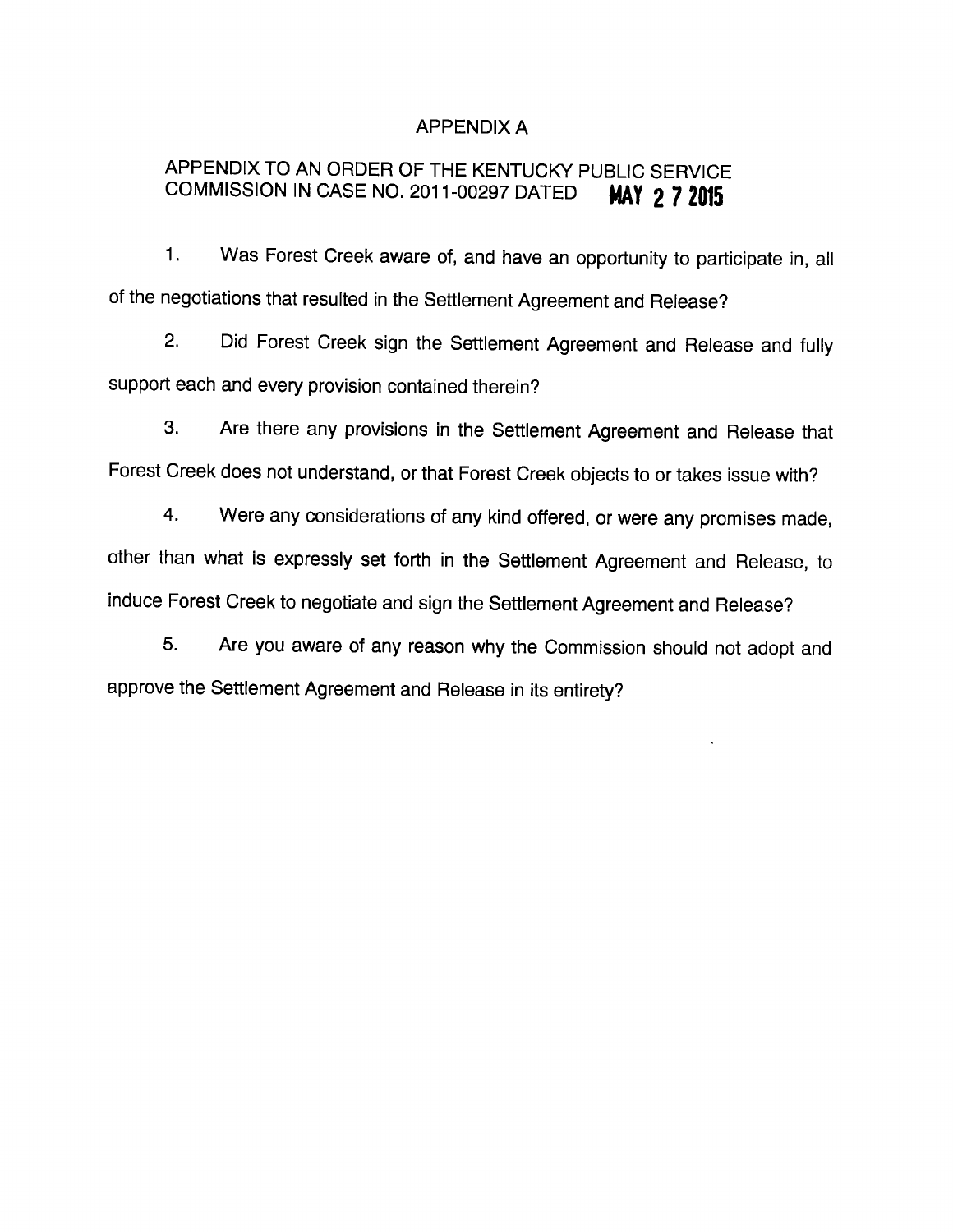#### APPENDIX A

## APPENDIX TO AN ORDER OF THE KENTUCKY PUBLIC SERVICE COMMISSION IN CASE NO. 2011-00297 DATED MAY 2 7 2015

1. Was Forest Creek aware of, and have an opportunity to participate in, all of the negotiations that resulted in the Settlement Agreement and Release?

2. Did Forest Creek sign the Settlement Agreement and Release and fully support each and every provision contained therein?

3. Are there any provisions in the Settlement Agreement and Release that Forest Creek does not understand, or that Forest Creek objects to or takes issue with?

4. Were any considerations of any kind offered, or were any promises made, other than what is expressly set forth in the Settlement Agreement and Release, to induce Forest Creek to negotiate and sign the Settlement Agreement and Release?

5. Are you aware of any reason why the Commission should not adopt and approve the Settlement Agreement and Release in its entirety?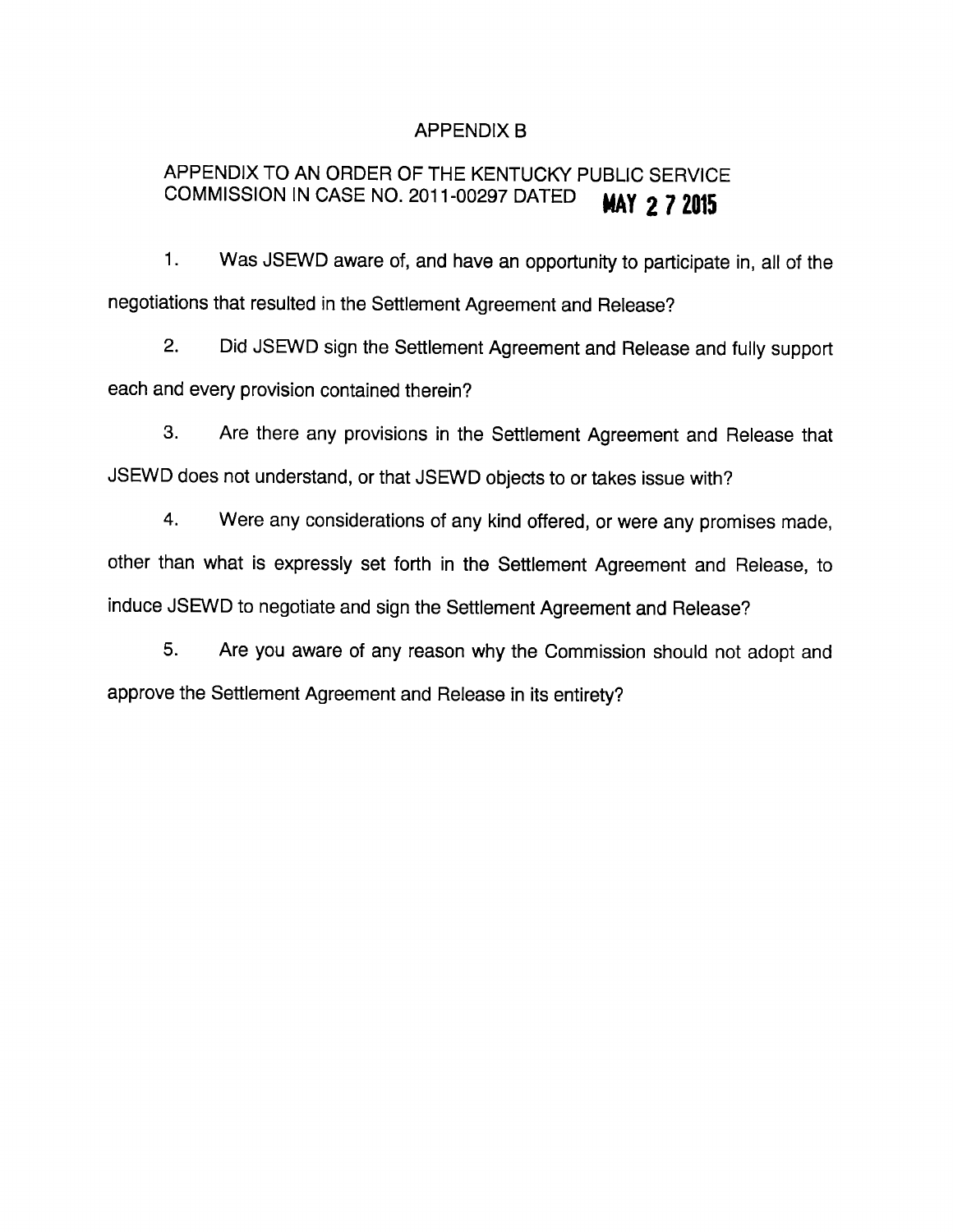## APPENDIX B

# APPENDIX TO AN ORDER OF THE KENTUCKY PUBLIC SERVICE COMMISSION IN CASE NO. 2011-00297 DATED **MAY 2 7 2015**

1. Was JSEWD aware of, and have an opportunity to participate in, all of the negotiations that resulted in the Settlement Agreement and Release?

2. Did JSEWD sign the Settlement Agreement and Release and fully support each and every provision contained therein?

3. Are there any provisions in the Settlement Agreement and Release that JSEWD does not understand, or that JSEWD objects to or takes issue with?

4. Were any considerations of any kind offered, or were any promises made, other than what is expressly set forth in the Settlement Agreement and Release, to induce JSEWD to negotiate and sign the Settlement Agreement and Release?

5. Are you aware of any reason why the Commission should not adopt and approve the Settlement Agreement and Release in its entirety?